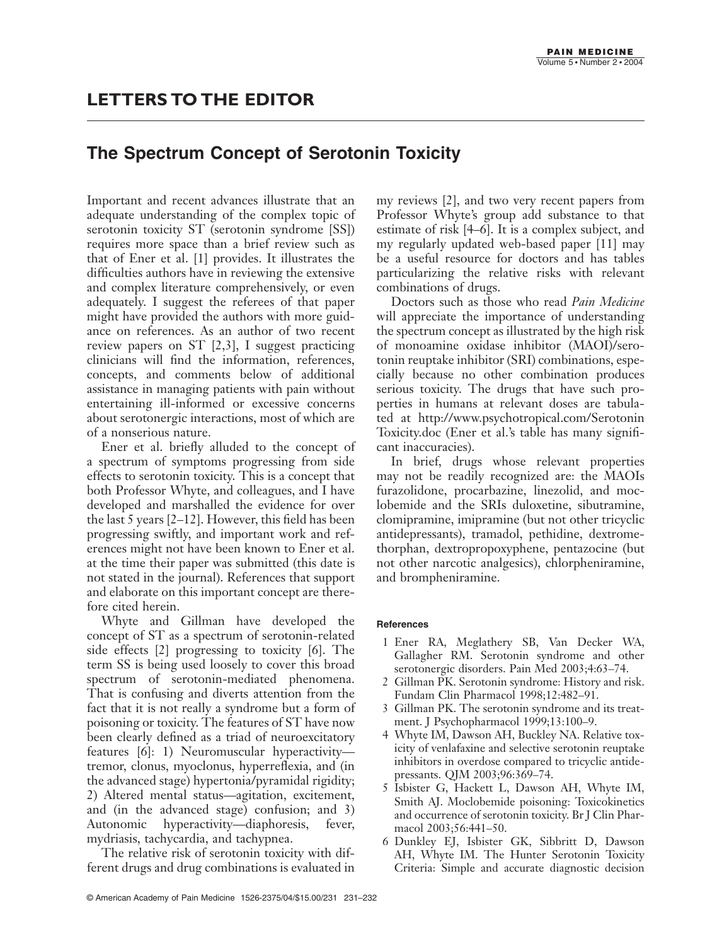## **The Spectrum Concept of Serotonin Toxicity**

Important and recent advances illustrate that an adequate understanding of the complex topic of serotonin toxicity ST (serotonin syndrome [SS]) requires more space than a brief review such as that of Ener et al. [1] provides. It illustrates the difficulties authors have in reviewing the extensive and complex literature comprehensively, or even adequately. I suggest the referees of that paper might have provided the authors with more guidance on references. As an author of two recent review papers on ST [2,3], I suggest practicing clinicians will find the information, references, concepts, and comments below of additional assistance in managing patients with pain without entertaining ill-informed or excessive concerns about serotonergic interactions, most of which are of a nonserious nature.

Ener et al. briefly alluded to the concept of a spectrum of symptoms progressing from side effects to serotonin toxicity. This is a concept that both Professor Whyte, and colleagues, and I have developed and marshalled the evidence for over the last 5 years [2–12]. However, this field has been progressing swiftly, and important work and references might not have been known to Ener et al. at the time their paper was submitted (this date is not stated in the journal). References that support and elaborate on this important concept are therefore cited herein.

Whyte and Gillman have developed the concept of ST as a spectrum of serotonin-related side effects [2] progressing to toxicity [6]. The term SS is being used loosely to cover this broad spectrum of serotonin-mediated phenomena. That is confusing and diverts attention from the fact that it is not really a syndrome but a form of poisoning or toxicity. The features of ST have now been clearly defined as a triad of neuroexcitatory features [6]: 1) Neuromuscular hyperactivity tremor, clonus, myoclonus, hyperreflexia, and (in the advanced stage) hypertonia/pyramidal rigidity; 2) Altered mental status—agitation, excitement, and (in the advanced stage) confusion; and 3) Autonomic hyperactivity—diaphoresis, fever, mydriasis, tachycardia, and tachypnea.

The relative risk of serotonin toxicity with different drugs and drug combinations is evaluated in

my reviews [2], and two very recent papers from Professor Whyte's group add substance to that estimate of risk [4–6]. It is a complex subject, and my regularly updated web-based paper [11] may be a useful resource for doctors and has tables particularizing the relative risks with relevant combinations of drugs.

Doctors such as those who read *Pain Medicine* will appreciate the importance of understanding the spectrum concept as illustrated by the high risk of monoamine oxidase inhibitor (MAOI)/serotonin reuptake inhibitor (SRI) combinations, especially because no other combination produces serious toxicity. The drugs that have such properties in humans at relevant doses are tabulated at <http://www.psychotropical.com/Serotonin> Toxicity.doc (Ener et al.'s table has many significant inaccuracies).

In brief, drugs whose relevant properties may not be readily recognized are: the MAOIs furazolidone, procarbazine, linezolid, and moclobemide and the SRIs duloxetine, sibutramine, clomipramine, imipramine (but not other tricyclic antidepressants), tramadol, pethidine, dextromethorphan, dextropropoxyphene, pentazocine (but not other narcotic analgesics), chlorpheniramine, and brompheniramine.

## **References**

- 1 Ener RA, Meglathery SB, Van Decker WA, Gallagher RM. Serotonin syndrome and other serotonergic disorders. Pain Med 2003;4:63–74.
- 2 Gillman PK. Serotonin syndrome: History and risk. Fundam Clin Pharmacol 1998;12:482–91.
- 3 Gillman PK. The serotonin syndrome and its treatment. J Psychopharmacol 1999;13:100–9.
- 4 Whyte IM, Dawson AH, Buckley NA. Relative toxicity of venlafaxine and selective serotonin reuptake inhibitors in overdose compared to tricyclic antidepressants. QJM 2003;96:369–74.
- 5 Isbister G, Hackett L, Dawson AH, Whyte IM, Smith AJ. Moclobemide poisoning: Toxicokinetics and occurrence of serotonin toxicity. Br J Clin Pharmacol 2003;56:441–50.
- 6 Dunkley EJ, Isbister GK, Sibbritt D, Dawson AH, Whyte IM. The Hunter Serotonin Toxicity Criteria: Simple and accurate diagnostic decision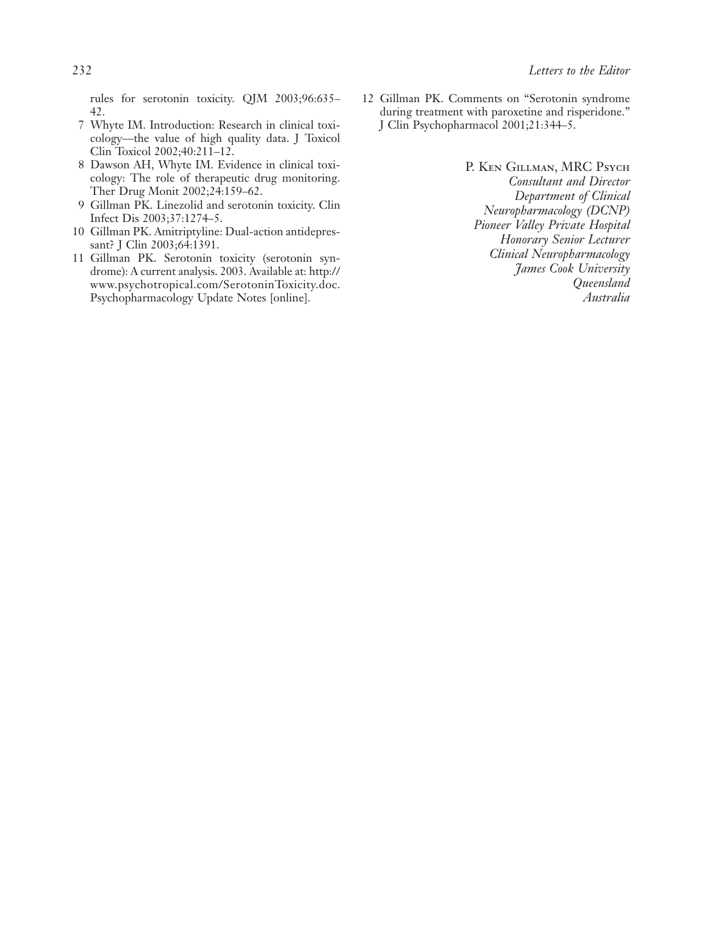rules for serotonin toxicity. QJM 2003;96:635– 42.

- 7 Whyte IM. Introduction: Research in clinical toxicology—the value of high quality data. J Toxicol Clin Toxicol 2002;40:211–12.
- 8 Dawson AH, Whyte IM. Evidence in clinical toxicology: The role of therapeutic drug monitoring. Ther Drug Monit 2002;24:159–62.
- 9 Gillman PK. Linezolid and serotonin toxicity. Clin Infect Dis 2003;37:1274–5.
- 10 Gillman PK. Amitriptyline: Dual-action antidepressant? J Clin 2003;64:1391.
- 11 Gillman PK. Serotonin toxicity (serotonin syndrome): A current analysis. 2003. Available at:<http://> www.psychotropical.com/SerotoninToxicity.doc. Psychopharmacology Update Notes [online].
- 12 Gillman PK. Comments on "Serotonin syndrome during treatment with paroxetine and risperidone." J Clin Psychopharmacol 2001;21:344–5.
	- P. Ken Gillman, MRC Psych *Consultant and Director Department of Clinical Neuropharmacology (DCNP) Pioneer Valley Private Hospital Honorary Senior Lecturer Clinical Neuropharmacology James Cook University Queensland Australia*